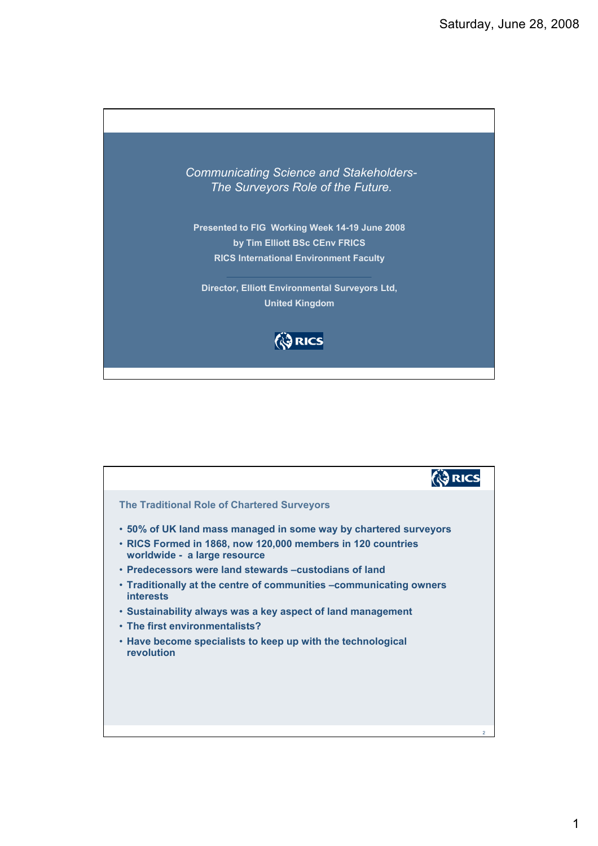

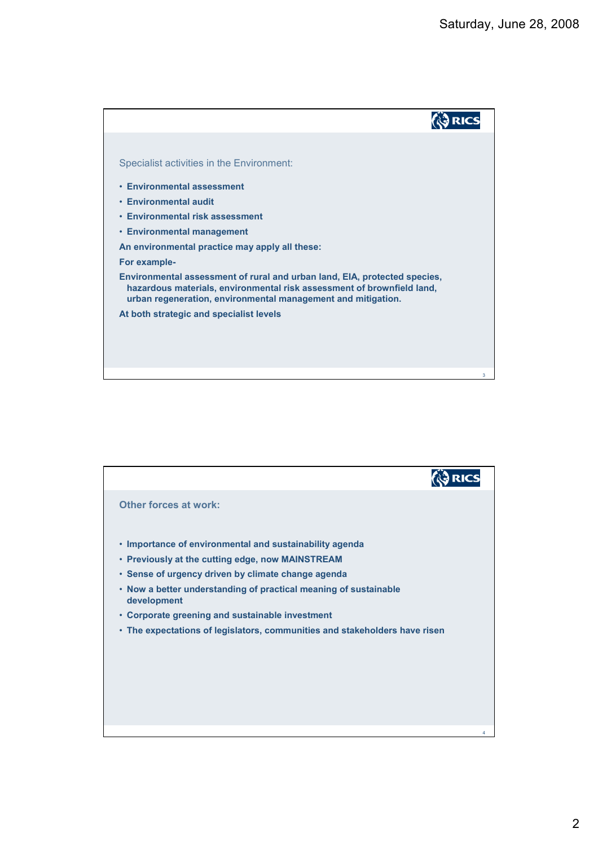

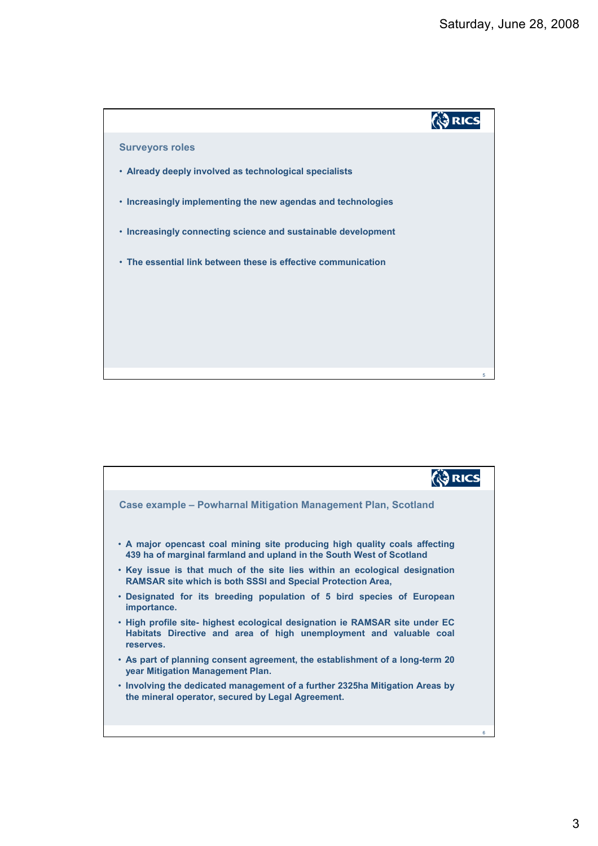

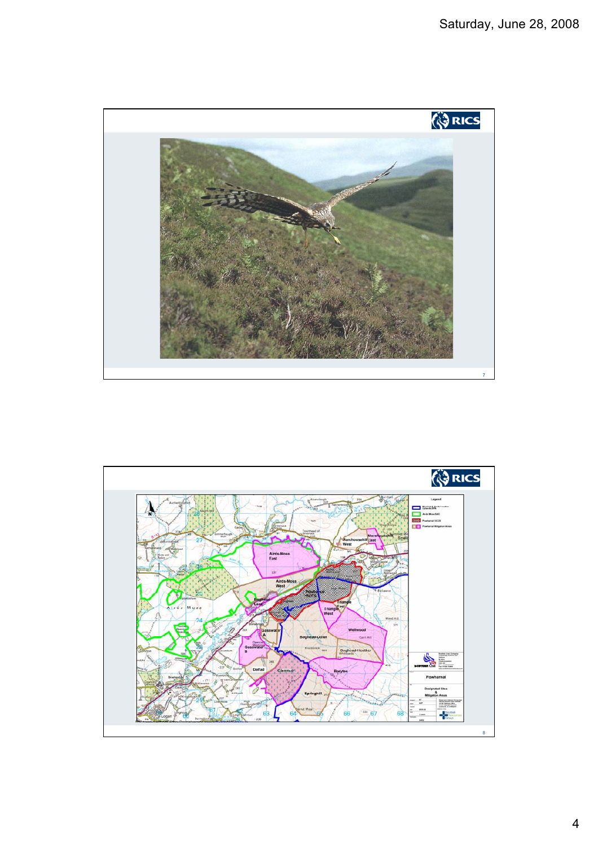

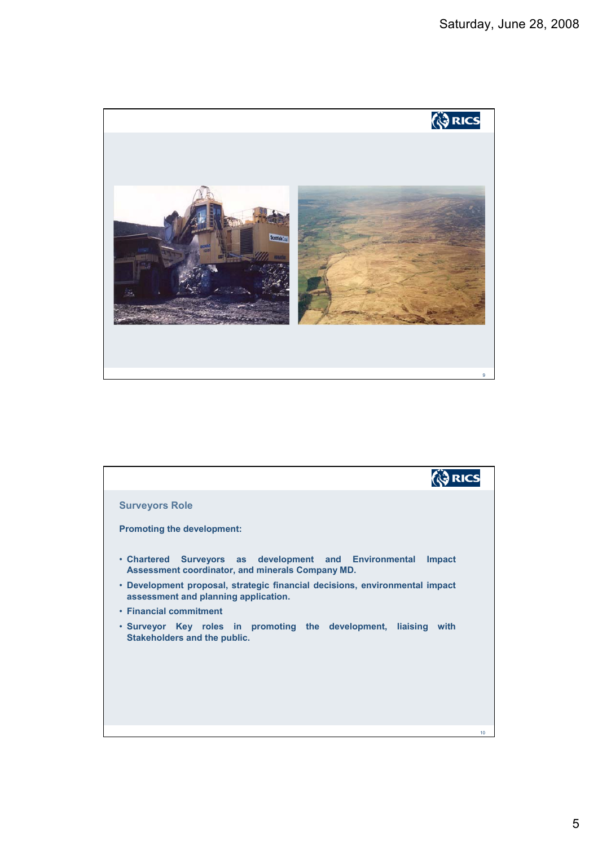

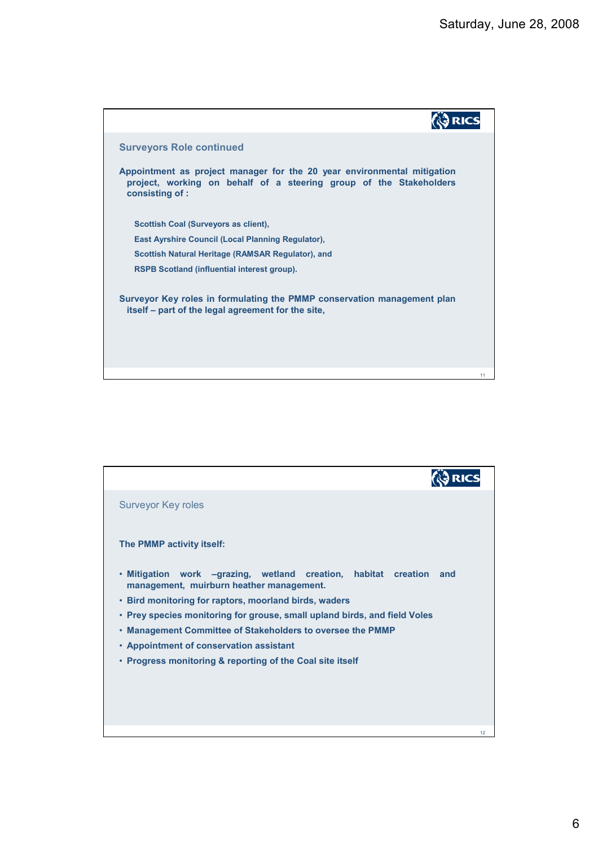

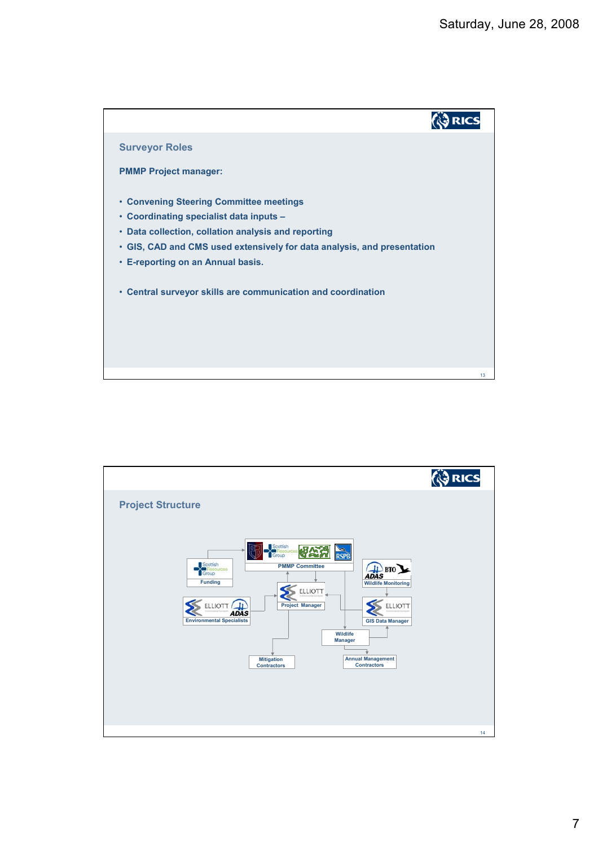

|                                                                                                                                                                                                                                                                                                                                                                                                                                      | <b>ORICS</b> |
|--------------------------------------------------------------------------------------------------------------------------------------------------------------------------------------------------------------------------------------------------------------------------------------------------------------------------------------------------------------------------------------------------------------------------------------|--------------|
| <b>Project Structure</b>                                                                                                                                                                                                                                                                                                                                                                                                             |              |
| Scottish<br>'ีี่≃ิก<br>Group<br><b>RSPB</b><br>Scottish<br>ADAS BTO<br><b>PMMP Committee</b><br><b>Hesources</b><br><b>Funding</b><br><b>Wildlife Monitoring</b><br>ELLIOTT<br>ELLIOTT<br><b>Project Manager</b><br>ELLIOTT<br><b>ADAS</b><br><b>Environmental Specialists</b><br><b>GIS Data Manager</b><br>Wildlife<br><b>Manager</b><br><b>Annual Management</b><br><b>Mitigation</b><br><b>Contractors</b><br><b>Contractors</b> |              |
|                                                                                                                                                                                                                                                                                                                                                                                                                                      | 14           |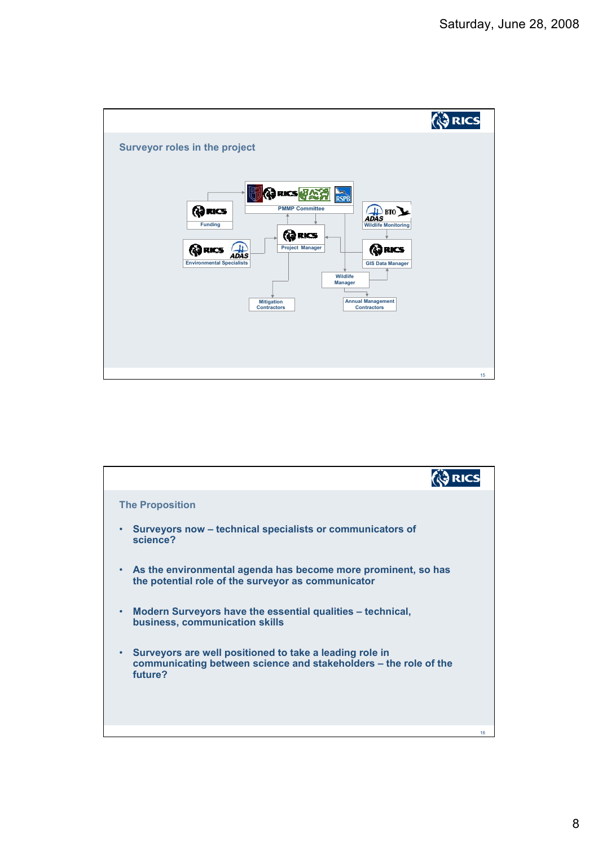